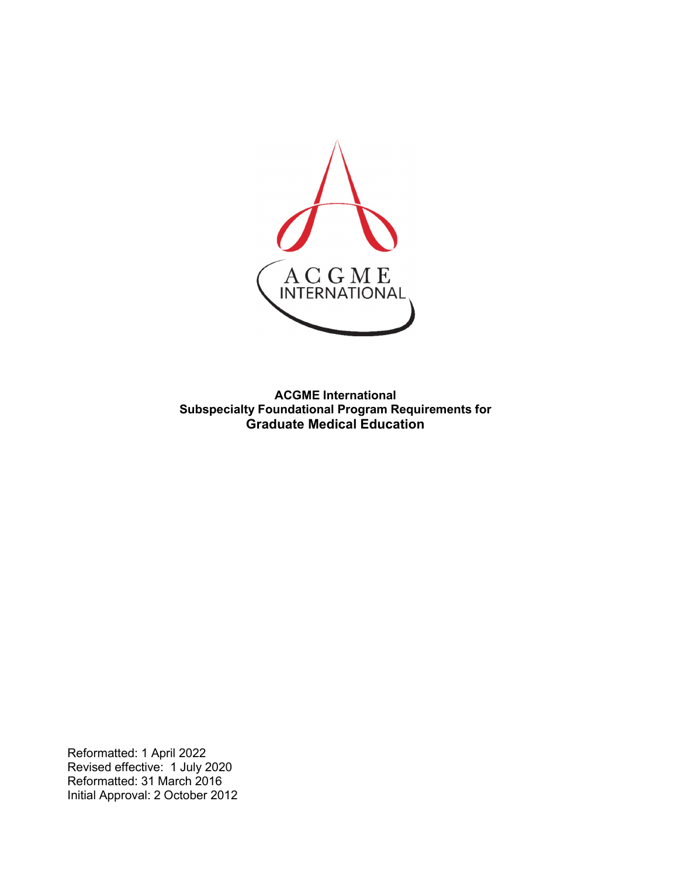

**ACGME International Subspecialty Foundational Program Requirements for Graduate Medical Education**

Reformatted: 1 April 2022 Revised effective: 1 July 2020 Reformatted: 31 March 2016 Initial Approval: 2 October 2012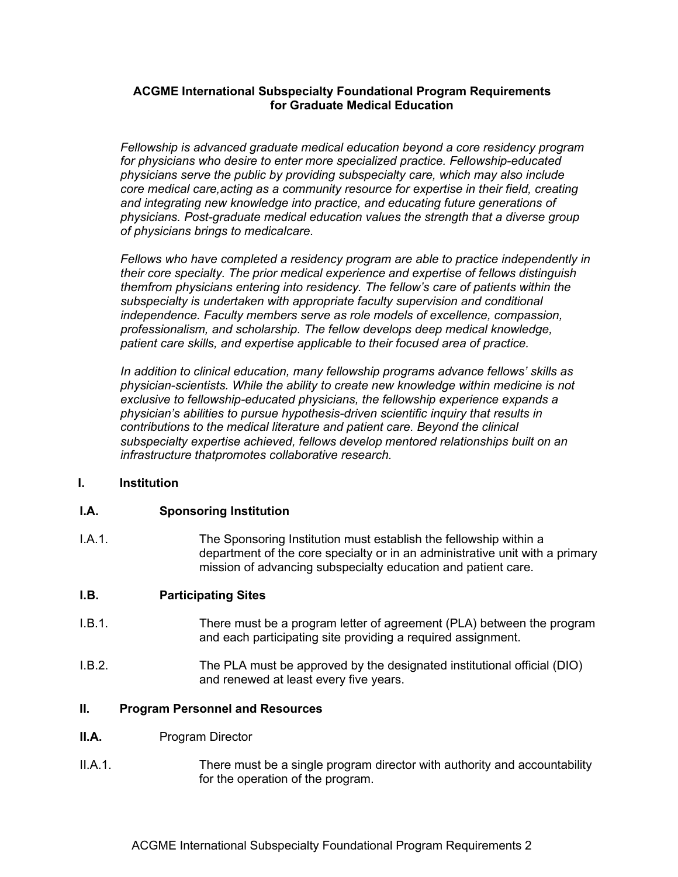# **ACGME International Subspecialty Foundational Program Requirements for Graduate Medical Education**

*Fellowship is advanced graduate medical education beyond a core residency program for physicians who desire to enter more specialized practice. Fellowship-educated physicians serve the public by providing subspecialty care, which may also include core medical care,acting as a community resource for expertise in their field, creating and integrating new knowledge into practice, and educating future generations of physicians. Post-graduate medical education values the strength that a diverse group of physicians brings to medicalcare.*

*Fellows who have completed a residency program are able to practice independently in their core specialty. The prior medical experience and expertise of fellows distinguish themfrom physicians entering into residency. The fellow's care of patients within the subspecialty is undertaken with appropriate faculty supervision and conditional independence. Faculty members serve as role models of excellence, compassion, professionalism, and scholarship. The fellow develops deep medical knowledge, patient care skills, and expertise applicable to their focused area of practice.*

*In addition to clinical education, many fellowship programs advance fellows' skills as physician-scientists. While the ability to create new knowledge within medicine is not exclusive to fellowship-educated physicians, the fellowship experience expands a physician's abilities to pursue hypothesis-driven scientific inquiry that results in contributions to the medical literature and patient care. Beyond the clinical subspecialty expertise achieved, fellows develop mentored relationships built on an infrastructure thatpromotes collaborative research.*

#### **I. Institution**

#### **I.A. Sponsoring Institution**

I.A.1. The Sponsoring Institution must establish the fellowship within a department of the core specialty or in an administrative unit with a primary mission of advancing subspecialty education and patient care.

#### **I.B. Participating Sites**

- I.B.1. There must be a program letter of agreement (PLA) between the program and each participating site providing a required assignment.
- I.B.2. The PLA must be approved by the designated institutional official (DIO) and renewed at least every five years.

#### **II. Program Personnel and Resources**

- **II.A.** Program Director
- II.A.1. There must be a single program director with authority and accountability for the operation of the program.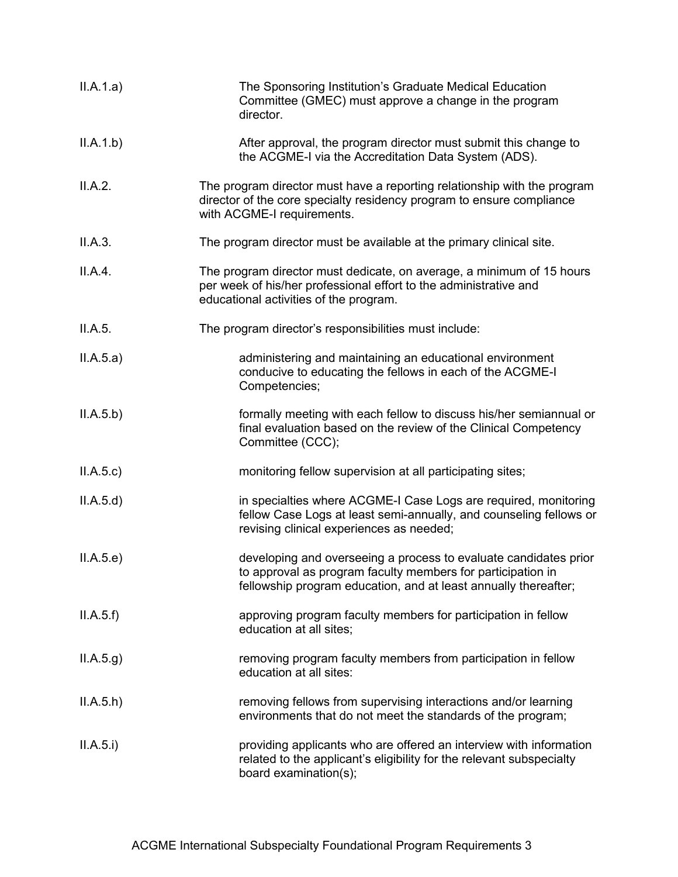| II.A.1.a) | The Sponsoring Institution's Graduate Medical Education<br>Committee (GMEC) must approve a change in the program<br>director.                                                                      |
|-----------|----------------------------------------------------------------------------------------------------------------------------------------------------------------------------------------------------|
| II.A.1.b) | After approval, the program director must submit this change to<br>the ACGME-I via the Accreditation Data System (ADS).                                                                            |
| II.A.2.   | The program director must have a reporting relationship with the program<br>director of the core specialty residency program to ensure compliance<br>with ACGME-I requirements.                    |
| II.A.3.   | The program director must be available at the primary clinical site.                                                                                                                               |
| II.A.4.   | The program director must dedicate, on average, a minimum of 15 hours<br>per week of his/her professional effort to the administrative and<br>educational activities of the program.               |
| II.A.5.   | The program director's responsibilities must include:                                                                                                                                              |
| II.A.5.a) | administering and maintaining an educational environment<br>conducive to educating the fellows in each of the ACGME-I<br>Competencies;                                                             |
| II.A.5.b) | formally meeting with each fellow to discuss his/her semiannual or<br>final evaluation based on the review of the Clinical Competency<br>Committee (CCC);                                          |
| II.A.5.c  | monitoring fellow supervision at all participating sites;                                                                                                                                          |
| II.A.5.d  | in specialties where ACGME-I Case Logs are required, monitoring<br>fellow Case Logs at least semi-annually, and counseling fellows or<br>revising clinical experiences as needed;                  |
| II.A.5.e) | developing and overseeing a process to evaluate candidates prior<br>to approval as program faculty members for participation in<br>fellowship program education, and at least annually thereafter; |
| II.A.5.f  | approving program faculty members for participation in fellow<br>education at all sites;                                                                                                           |
| ILA.5.g)  | removing program faculty members from participation in fellow<br>education at all sites:                                                                                                           |
| ILA.5.h)  | removing fellows from supervising interactions and/or learning<br>environments that do not meet the standards of the program;                                                                      |
| II.A.5.i) | providing applicants who are offered an interview with information<br>related to the applicant's eligibility for the relevant subspecialty<br>board examination(s);                                |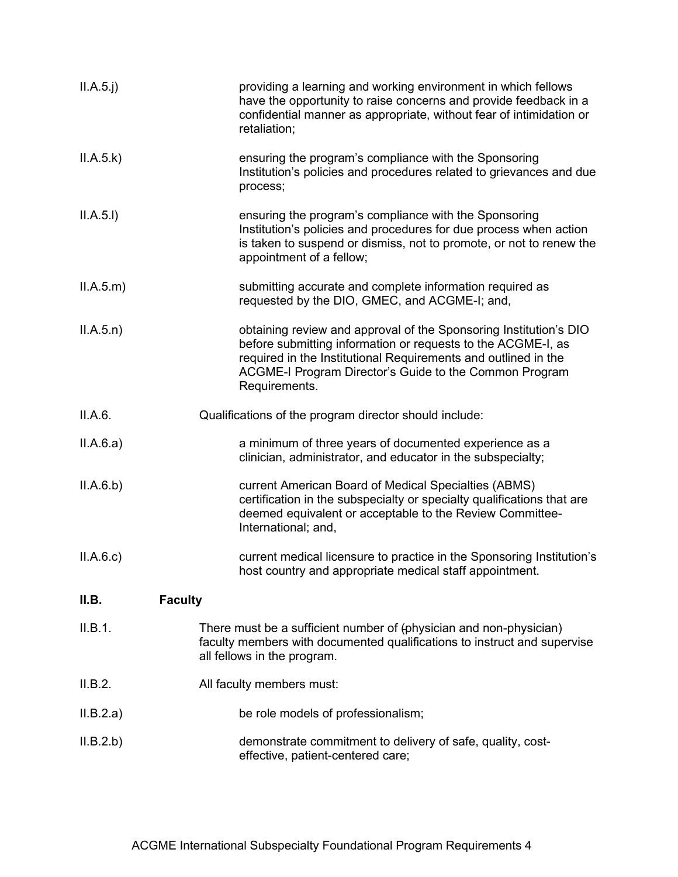| II.A.5.j) | providing a learning and working environment in which fellows<br>have the opportunity to raise concerns and provide feedback in a<br>confidential manner as appropriate, without fear of intimidation or<br>retaliation;                                                       |
|-----------|--------------------------------------------------------------------------------------------------------------------------------------------------------------------------------------------------------------------------------------------------------------------------------|
| II.A.5.k) | ensuring the program's compliance with the Sponsoring<br>Institution's policies and procedures related to grievances and due<br>process;                                                                                                                                       |
| II.A.5.I) | ensuring the program's compliance with the Sponsoring<br>Institution's policies and procedures for due process when action<br>is taken to suspend or dismiss, not to promote, or not to renew the<br>appointment of a fellow;                                                  |
| ILA.5.m)  | submitting accurate and complete information required as<br>requested by the DIO, GMEC, and ACGME-I; and,                                                                                                                                                                      |
| ILA.5.n)  | obtaining review and approval of the Sponsoring Institution's DIO<br>before submitting information or requests to the ACGME-I, as<br>required in the Institutional Requirements and outlined in the<br>ACGME-I Program Director's Guide to the Common Program<br>Requirements. |
| II.A.6.   | Qualifications of the program director should include:                                                                                                                                                                                                                         |
| II.A.6.a) | a minimum of three years of documented experience as a<br>clinician, administrator, and educator in the subspecialty;                                                                                                                                                          |
| II.A.6.b) | current American Board of Medical Specialties (ABMS)<br>certification in the subspecialty or specialty qualifications that are<br>deemed equivalent or acceptable to the Review Committee-<br>International; and,                                                              |
| ILA.6.c)  | current medical licensure to practice in the Sponsoring Institution's<br>host country and appropriate medical staff appointment.                                                                                                                                               |
| II.B.     | <b>Faculty</b>                                                                                                                                                                                                                                                                 |
| II.B.1.   | There must be a sufficient number of (physician and non-physician)<br>faculty members with documented qualifications to instruct and supervise<br>all fellows in the program.                                                                                                  |
| II.B.2.   | All faculty members must:                                                                                                                                                                                                                                                      |
| ILB.2.a)  | be role models of professionalism;                                                                                                                                                                                                                                             |
| II.B.2.b) | demonstrate commitment to delivery of safe, quality, cost-<br>effective, patient-centered care;                                                                                                                                                                                |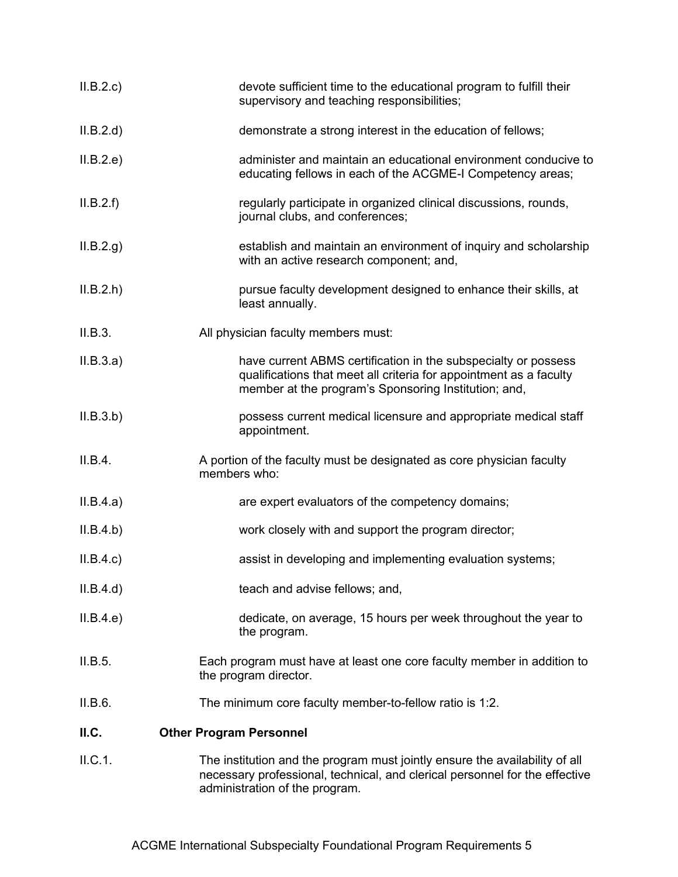| II.B.2.c  | devote sufficient time to the educational program to fulfill their<br>supervisory and teaching responsibilities;                                                                             |
|-----------|----------------------------------------------------------------------------------------------------------------------------------------------------------------------------------------------|
| II.B.2.d  | demonstrate a strong interest in the education of fellows;                                                                                                                                   |
| II.B.2.e) | administer and maintain an educational environment conducive to<br>educating fellows in each of the ACGME-I Competency areas;                                                                |
| II.B.2.f) | regularly participate in organized clinical discussions, rounds,<br>journal clubs, and conferences;                                                                                          |
| II.B.2.g. | establish and maintain an environment of inquiry and scholarship<br>with an active research component; and,                                                                                  |
| II.B.2.h  | pursue faculty development designed to enhance their skills, at<br>least annually.                                                                                                           |
| II.B.3.   | All physician faculty members must:                                                                                                                                                          |
| II.B.3.a) | have current ABMS certification in the subspecialty or possess<br>qualifications that meet all criteria for appointment as a faculty<br>member at the program's Sponsoring Institution; and, |
| II.B.3.b) | possess current medical licensure and appropriate medical staff<br>appointment.                                                                                                              |
| II.B.4.   | A portion of the faculty must be designated as core physician faculty<br>members who:                                                                                                        |
| II.B.4.a) | are expert evaluators of the competency domains;                                                                                                                                             |
| II.B.4.b) | work closely with and support the program director;                                                                                                                                          |
| II.B.4.c) | assist in developing and implementing evaluation systems;                                                                                                                                    |
| II.B.4.d  | teach and advise fellows; and,                                                                                                                                                               |
| II.B.4.e) | dedicate, on average, 15 hours per week throughout the year to<br>the program.                                                                                                               |
| II.B.5.   | Each program must have at least one core faculty member in addition to<br>the program director.                                                                                              |
| II.B.6.   | The minimum core faculty member-to-fellow ratio is 1:2.                                                                                                                                      |
| II.C.     | <b>Other Program Personnel</b>                                                                                                                                                               |
| II.C.1.   | The institution and the program must jointly ensure the availability of all<br>necessary professional, technical, and clerical personnel for the effective<br>administration of the program. |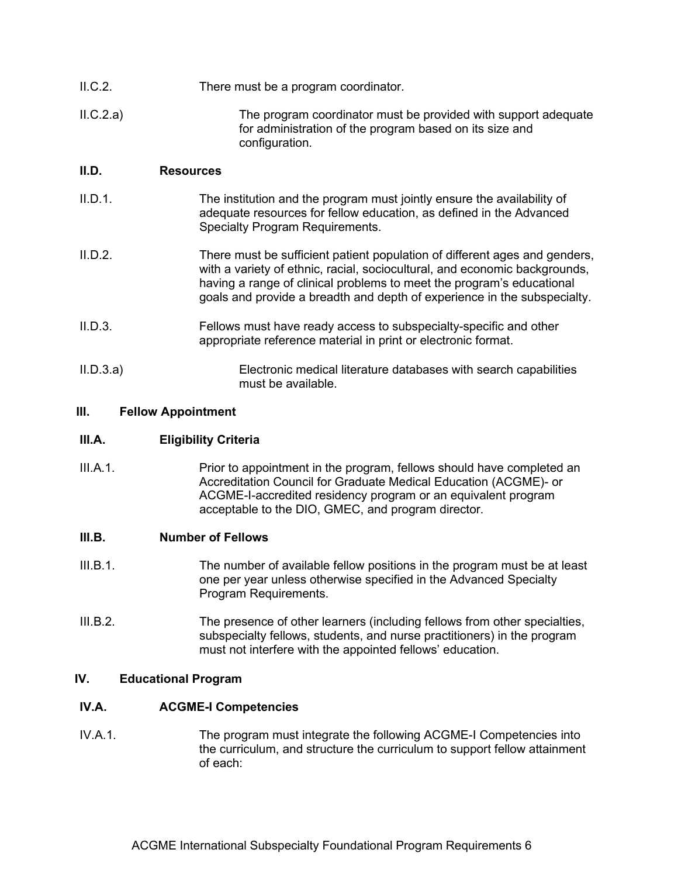| II.C.2.  | There must be a program coordinator.                                                                                                        |
|----------|---------------------------------------------------------------------------------------------------------------------------------------------|
| ILC.2.a) | The program coordinator must be provided with support adequate<br>for administration of the program based on its size and<br>configuration. |

# **II.D. Resources**

- II.D.1. The institution and the program must jointly ensure the availability of adequate resources for fellow education, as defined in the Advanced Specialty Program Requirements.
- II.D.2. There must be sufficient patient population of different ages and genders, with a variety of ethnic, racial, sociocultural, and economic backgrounds, having a range of clinical problems to meet the program's educational goals and provide a breadth and depth of experience in the subspecialty.
- II.D.3. Fellows must have ready access to subspecialty-specific and other appropriate reference material in print or electronic format.
- II.D.3.a) Electronic medical literature databases with search capabilities must be available.

## **III. Fellow Appointment**

# **III.A. Eligibility Criteria**

III.A.1. Prior to appointment in the program, fellows should have completed an Accreditation Council for Graduate Medical Education (ACGME)- or ACGME-I-accredited residency program or an equivalent program acceptable to the DIO, GMEC, and program director.

#### **III.B. Number of Fellows**

- III.B.1. The number of available fellow positions in the program must be at least one per year unless otherwise specified in the Advanced Specialty Program Requirements.
- III.B.2. The presence of other learners (including fellows from other specialties, subspecialty fellows, students, and nurse practitioners) in the program must not interfere with the appointed fellows' education.

## **IV. Educational Program**

## **IV.A. ACGME-I Competencies**

IV.A.1. The program must integrate the following ACGME-I Competencies into the curriculum, and structure the curriculum to support fellow attainment of each: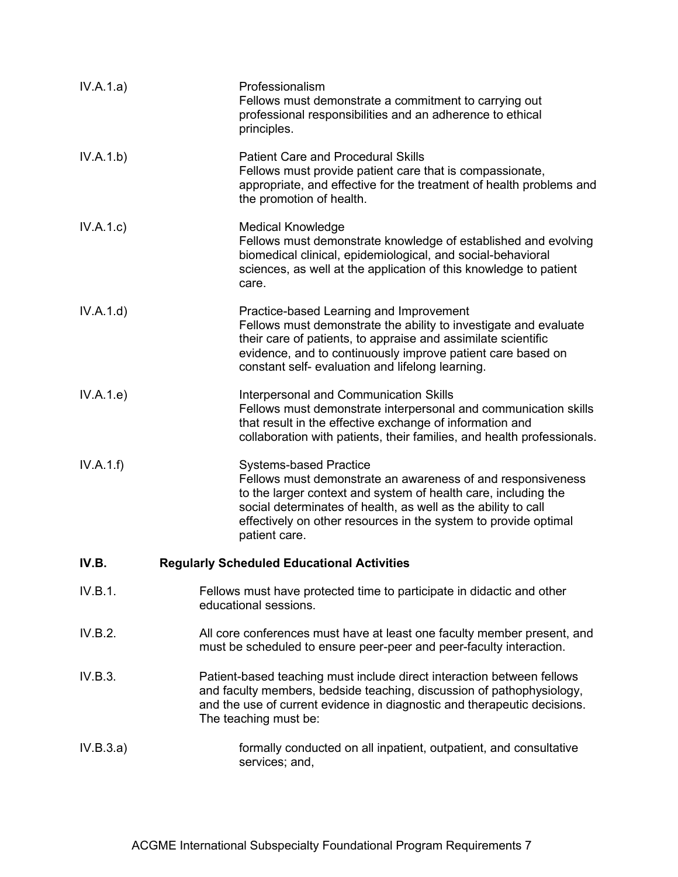| IV.A.1.a) | Professionalism<br>Fellows must demonstrate a commitment to carrying out<br>professional responsibilities and an adherence to ethical<br>principles.                                                                                                                                                                |
|-----------|---------------------------------------------------------------------------------------------------------------------------------------------------------------------------------------------------------------------------------------------------------------------------------------------------------------------|
| IV.A.1.b) | <b>Patient Care and Procedural Skills</b><br>Fellows must provide patient care that is compassionate,<br>appropriate, and effective for the treatment of health problems and<br>the promotion of health.                                                                                                            |
| IV.A.1.c) | <b>Medical Knowledge</b><br>Fellows must demonstrate knowledge of established and evolving<br>biomedical clinical, epidemiological, and social-behavioral<br>sciences, as well at the application of this knowledge to patient<br>care.                                                                             |
| IV.A.1.d) | Practice-based Learning and Improvement<br>Fellows must demonstrate the ability to investigate and evaluate<br>their care of patients, to appraise and assimilate scientific<br>evidence, and to continuously improve patient care based on<br>constant self- evaluation and lifelong learning.                     |
| IV.A.1.e) | Interpersonal and Communication Skills<br>Fellows must demonstrate interpersonal and communication skills<br>that result in the effective exchange of information and<br>collaboration with patients, their families, and health professionals.                                                                     |
| IV.A.1.f) | <b>Systems-based Practice</b><br>Fellows must demonstrate an awareness of and responsiveness<br>to the larger context and system of health care, including the<br>social determinates of health, as well as the ability to call<br>effectively on other resources in the system to provide optimal<br>patient care. |
| IV.B.     | <b>Regularly Scheduled Educational Activities</b>                                                                                                                                                                                                                                                                   |
| IV.B.1.   | Fellows must have protected time to participate in didactic and other<br>educational sessions.                                                                                                                                                                                                                      |
| IV.B.2.   | All core conferences must have at least one faculty member present, and<br>must be scheduled to ensure peer-peer and peer-faculty interaction.                                                                                                                                                                      |
| IV.B.3.   | Patient-based teaching must include direct interaction between fellows<br>and faculty members, bedside teaching, discussion of pathophysiology,<br>and the use of current evidence in diagnostic and therapeutic decisions.<br>The teaching must be:                                                                |
| IV.B.3.a) | formally conducted on all inpatient, outpatient, and consultative<br>services; and,                                                                                                                                                                                                                                 |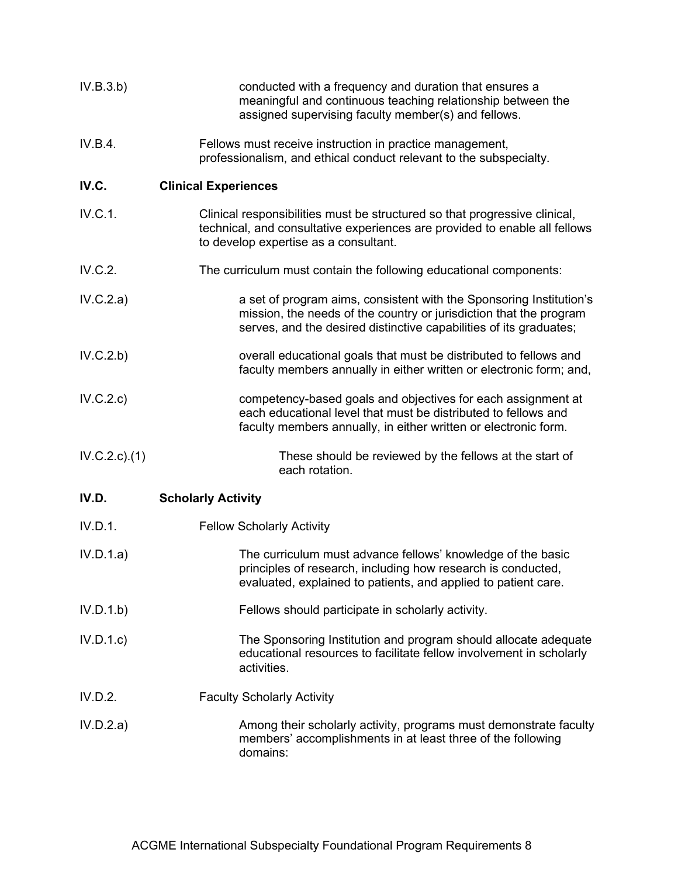| IV.B.3.b)     | conducted with a frequency and duration that ensures a<br>meaningful and continuous teaching relationship between the<br>assigned supervising faculty member(s) and fellows.                                    |
|---------------|-----------------------------------------------------------------------------------------------------------------------------------------------------------------------------------------------------------------|
| IV.B.4.       | Fellows must receive instruction in practice management,<br>professionalism, and ethical conduct relevant to the subspecialty.                                                                                  |
| IV.C.         | <b>Clinical Experiences</b>                                                                                                                                                                                     |
| IV.C.1.       | Clinical responsibilities must be structured so that progressive clinical,<br>technical, and consultative experiences are provided to enable all fellows<br>to develop expertise as a consultant.               |
| IV.C.2.       | The curriculum must contain the following educational components:                                                                                                                                               |
| IV.C.2.a)     | a set of program aims, consistent with the Sponsoring Institution's<br>mission, the needs of the country or jurisdiction that the program<br>serves, and the desired distinctive capabilities of its graduates; |
| IV.C.2.b)     | overall educational goals that must be distributed to fellows and<br>faculty members annually in either written or electronic form; and,                                                                        |
| IV.C.2.c)     | competency-based goals and objectives for each assignment at<br>each educational level that must be distributed to fellows and<br>faculty members annually, in either written or electronic form.               |
| IV.C.2.c).(1) | These should be reviewed by the fellows at the start of<br>each rotation.                                                                                                                                       |
| IV.D.         | <b>Scholarly Activity</b>                                                                                                                                                                                       |
| IV.D.1.       | <b>Fellow Scholarly Activity</b>                                                                                                                                                                                |
| IV.D.1.a)     | The curriculum must advance fellows' knowledge of the basic<br>principles of research, including how research is conducted,<br>evaluated, explained to patients, and applied to patient care.                   |
| IV.D.1.b)     | Fellows should participate in scholarly activity.                                                                                                                                                               |
| IV.D.1.c      | The Sponsoring Institution and program should allocate adequate<br>educational resources to facilitate fellow involvement in scholarly<br>activities.                                                           |
| IV.D.2.       | <b>Faculty Scholarly Activity</b>                                                                                                                                                                               |
| IV.D.2.a)     | Among their scholarly activity, programs must demonstrate faculty<br>members' accomplishments in at least three of the following<br>domains:                                                                    |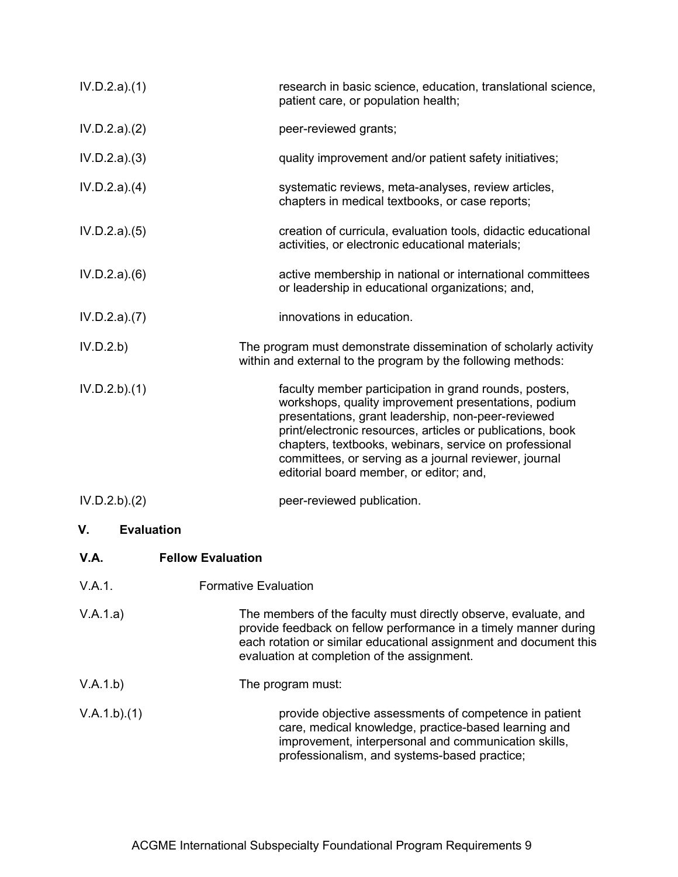| IV.D.2.a)(1)            | research in basic science, education, translational science,<br>patient care, or population health;                                                                                                                                                                                                                                                                                              |
|-------------------------|--------------------------------------------------------------------------------------------------------------------------------------------------------------------------------------------------------------------------------------------------------------------------------------------------------------------------------------------------------------------------------------------------|
| IV.D.2.a)(2)            | peer-reviewed grants;                                                                                                                                                                                                                                                                                                                                                                            |
| IV.D.2.a)(3)            | quality improvement and/or patient safety initiatives;                                                                                                                                                                                                                                                                                                                                           |
| IV.D.2.a)(4)            | systematic reviews, meta-analyses, review articles,<br>chapters in medical textbooks, or case reports;                                                                                                                                                                                                                                                                                           |
| IV.D.2.a)(5)            | creation of curricula, evaluation tools, didactic educational<br>activities, or electronic educational materials;                                                                                                                                                                                                                                                                                |
| IV.D.2.a)(6)            | active membership in national or international committees<br>or leadership in educational organizations; and,                                                                                                                                                                                                                                                                                    |
| IV.D.2.a)(7)            | innovations in education.                                                                                                                                                                                                                                                                                                                                                                        |
| IV.D.2.b)               | The program must demonstrate dissemination of scholarly activity<br>within and external to the program by the following methods:                                                                                                                                                                                                                                                                 |
| IV.D.2.b)(1)            | faculty member participation in grand rounds, posters,<br>workshops, quality improvement presentations, podium<br>presentations, grant leadership, non-peer-reviewed<br>print/electronic resources, articles or publications, book<br>chapters, textbooks, webinars, service on professional<br>committees, or serving as a journal reviewer, journal<br>editorial board member, or editor; and, |
| IV.D.2.b)(2)            | peer-reviewed publication.                                                                                                                                                                                                                                                                                                                                                                       |
| ٧.<br><b>Evaluation</b> |                                                                                                                                                                                                                                                                                                                                                                                                  |
| V.A.                    | <b>Fellow Evaluation</b>                                                                                                                                                                                                                                                                                                                                                                         |
| V.A.1.                  | <b>Formative Evaluation</b>                                                                                                                                                                                                                                                                                                                                                                      |
| V.A.1.a)                | The members of the faculty must directly observe, evaluate, and<br>provide feedback on fellow performance in a timely manner during<br>each rotation or similar educational assignment and document this<br>evaluation at completion of the assignment.                                                                                                                                          |
| V.A.1.b)                | The program must:                                                                                                                                                                                                                                                                                                                                                                                |
| V.A.1.b)(1)             | provide objective assessments of competence in patient<br>care, medical knowledge, practice-based learning and<br>improvement, interpersonal and communication skills,<br>professionalism, and systems-based practice;                                                                                                                                                                           |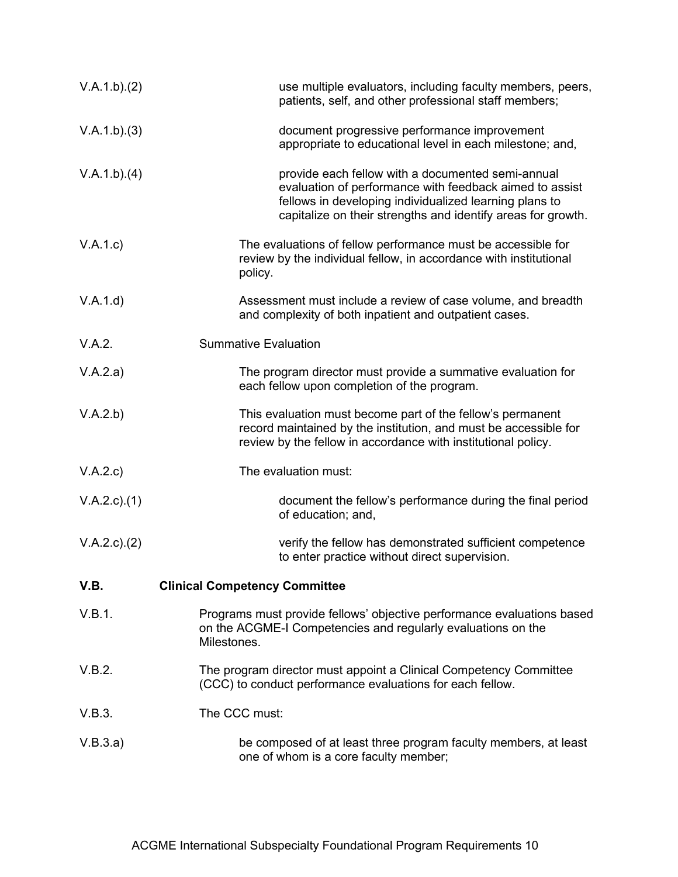| V.A.1.b)(2)   | use multiple evaluators, including faculty members, peers,<br>patients, self, and other professional staff members;                                                                                                                    |
|---------------|----------------------------------------------------------------------------------------------------------------------------------------------------------------------------------------------------------------------------------------|
| V.A.1.b)(3)   | document progressive performance improvement<br>appropriate to educational level in each milestone; and,                                                                                                                               |
| V.A.1.b)(4)   | provide each fellow with a documented semi-annual<br>evaluation of performance with feedback aimed to assist<br>fellows in developing individualized learning plans to<br>capitalize on their strengths and identify areas for growth. |
| V.A.1.c)      | The evaluations of fellow performance must be accessible for<br>review by the individual fellow, in accordance with institutional<br>policy.                                                                                           |
| V.A.1.d)      | Assessment must include a review of case volume, and breadth<br>and complexity of both inpatient and outpatient cases.                                                                                                                 |
| V.A.2.        | <b>Summative Evaluation</b>                                                                                                                                                                                                            |
| V.A.2.a)      | The program director must provide a summative evaluation for<br>each fellow upon completion of the program.                                                                                                                            |
| V.A.2.b)      | This evaluation must become part of the fellow's permanent<br>record maintained by the institution, and must be accessible for<br>review by the fellow in accordance with institutional policy.                                        |
| V.A.2.c)      | The evaluation must:                                                                                                                                                                                                                   |
| V.A.2.c)(1)   | document the fellow's performance during the final period<br>of education; and,                                                                                                                                                        |
| V.A.2.c). (2) | verify the fellow has demonstrated sufficient competence<br>to enter practice without direct supervision.                                                                                                                              |
| V.B.          | <b>Clinical Competency Committee</b>                                                                                                                                                                                                   |
| V.B.1.        | Programs must provide fellows' objective performance evaluations based<br>on the ACGME-I Competencies and regularly evaluations on the<br>Milestones.                                                                                  |
| V.B.2.        | The program director must appoint a Clinical Competency Committee<br>(CCC) to conduct performance evaluations for each fellow.                                                                                                         |
| V.B.3.        | The CCC must:                                                                                                                                                                                                                          |
| V.B.3.a)      | be composed of at least three program faculty members, at least<br>one of whom is a core faculty member;                                                                                                                               |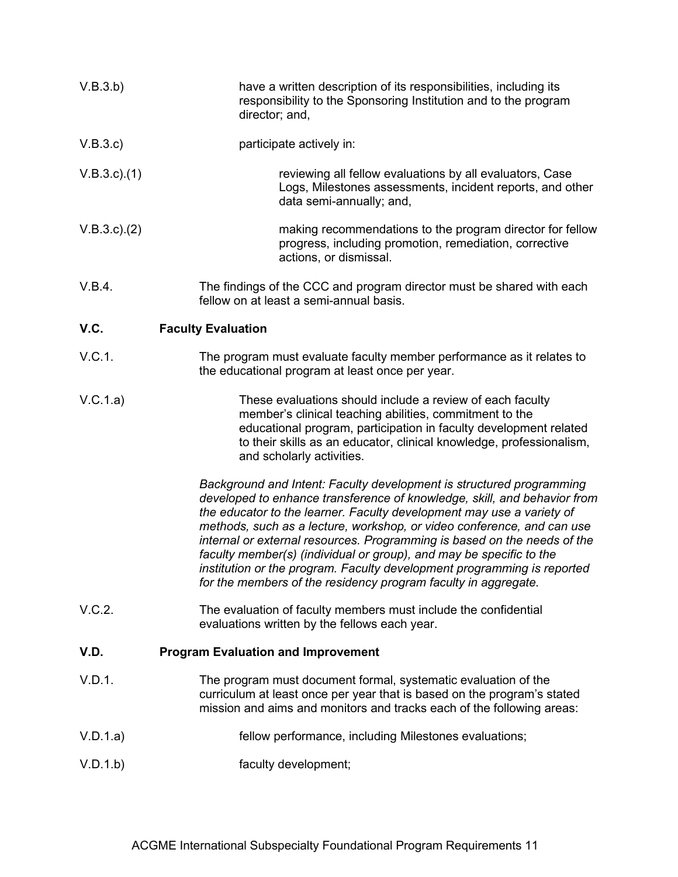| V.B.3.b)           | have a written description of its responsibilities, including its<br>responsibility to the Sponsoring Institution and to the program<br>director; and,                                                                                                                                                                                                                                                                                                                                                                                                                                              |  |
|--------------------|-----------------------------------------------------------------------------------------------------------------------------------------------------------------------------------------------------------------------------------------------------------------------------------------------------------------------------------------------------------------------------------------------------------------------------------------------------------------------------------------------------------------------------------------------------------------------------------------------------|--|
| V.B.3.c)           | participate actively in:                                                                                                                                                                                                                                                                                                                                                                                                                                                                                                                                                                            |  |
| $V.B.3.c$ ). $(1)$ | reviewing all fellow evaluations by all evaluators, Case<br>Logs, Milestones assessments, incident reports, and other<br>data semi-annually; and,                                                                                                                                                                                                                                                                                                                                                                                                                                                   |  |
| $V.B.3.c$ ). $(2)$ | making recommendations to the program director for fellow<br>progress, including promotion, remediation, corrective<br>actions, or dismissal.                                                                                                                                                                                                                                                                                                                                                                                                                                                       |  |
| V.B.4.             | The findings of the CCC and program director must be shared with each<br>fellow on at least a semi-annual basis.                                                                                                                                                                                                                                                                                                                                                                                                                                                                                    |  |
| V.C.               | <b>Faculty Evaluation</b>                                                                                                                                                                                                                                                                                                                                                                                                                                                                                                                                                                           |  |
| V.C.1.             | The program must evaluate faculty member performance as it relates to<br>the educational program at least once per year.                                                                                                                                                                                                                                                                                                                                                                                                                                                                            |  |
| V.C.1.a)           | These evaluations should include a review of each faculty<br>member's clinical teaching abilities, commitment to the<br>educational program, participation in faculty development related<br>to their skills as an educator, clinical knowledge, professionalism,<br>and scholarly activities.                                                                                                                                                                                                                                                                                                      |  |
|                    | Background and Intent: Faculty development is structured programming<br>developed to enhance transference of knowledge, skill, and behavior from<br>the educator to the learner. Faculty development may use a variety of<br>methods, such as a lecture, workshop, or video conference, and can use<br>internal or external resources. Programming is based on the needs of the<br>faculty member(s) (individual or group), and may be specific to the<br>institution or the program. Faculty development programming is reported<br>for the members of the residency program faculty in aggregate. |  |
| V.C.2.             | The evaluation of faculty members must include the confidential<br>evaluations written by the fellows each year.                                                                                                                                                                                                                                                                                                                                                                                                                                                                                    |  |
| V.D.               | <b>Program Evaluation and Improvement</b>                                                                                                                                                                                                                                                                                                                                                                                                                                                                                                                                                           |  |
| V.D.1.             | The program must document formal, systematic evaluation of the<br>curriculum at least once per year that is based on the program's stated<br>mission and aims and monitors and tracks each of the following areas:                                                                                                                                                                                                                                                                                                                                                                                  |  |
| V.D.1.a)           | fellow performance, including Milestones evaluations;                                                                                                                                                                                                                                                                                                                                                                                                                                                                                                                                               |  |
| V.D.1.b)           | faculty development;                                                                                                                                                                                                                                                                                                                                                                                                                                                                                                                                                                                |  |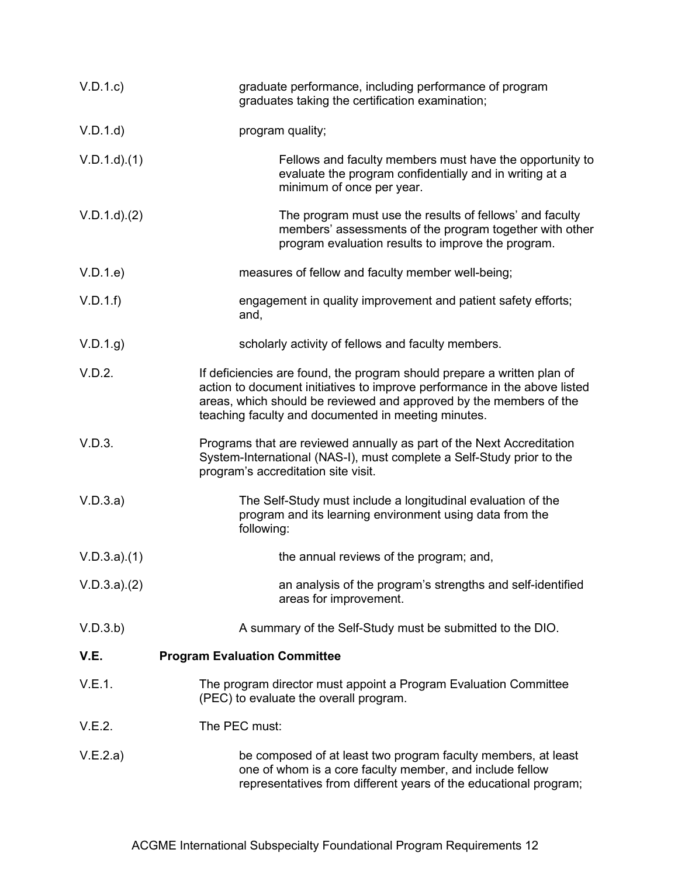| V.D.1.c         | graduate performance, including performance of program<br>graduates taking the certification examination;                                                                                                                                                                         |
|-----------------|-----------------------------------------------------------------------------------------------------------------------------------------------------------------------------------------------------------------------------------------------------------------------------------|
| V.D.1.d         | program quality;                                                                                                                                                                                                                                                                  |
| $V.D.1.d$ $(1)$ | Fellows and faculty members must have the opportunity to<br>evaluate the program confidentially and in writing at a<br>minimum of once per year.                                                                                                                                  |
| $V.D.1.d$ $(2)$ | The program must use the results of fellows' and faculty<br>members' assessments of the program together with other<br>program evaluation results to improve the program.                                                                                                         |
| V.D.1.e         | measures of fellow and faculty member well-being;                                                                                                                                                                                                                                 |
| V.D.1.f         | engagement in quality improvement and patient safety efforts;<br>and,                                                                                                                                                                                                             |
| V.D.1.g         | scholarly activity of fellows and faculty members.                                                                                                                                                                                                                                |
| V.D.2.          | If deficiencies are found, the program should prepare a written plan of<br>action to document initiatives to improve performance in the above listed<br>areas, which should be reviewed and approved by the members of the<br>teaching faculty and documented in meeting minutes. |
| V.D.3.          | Programs that are reviewed annually as part of the Next Accreditation<br>System-International (NAS-I), must complete a Self-Study prior to the<br>program's accreditation site visit.                                                                                             |
| V.D.3.a)        | The Self-Study must include a longitudinal evaluation of the<br>program and its learning environment using data from the<br>following:                                                                                                                                            |
| V.D.3.a)(1)     | the annual reviews of the program; and,                                                                                                                                                                                                                                           |
| V.D.3.a)(2)     | an analysis of the program's strengths and self-identified<br>areas for improvement.                                                                                                                                                                                              |
| V.D.3.b)        | A summary of the Self-Study must be submitted to the DIO.                                                                                                                                                                                                                         |
| V.E.            | <b>Program Evaluation Committee</b>                                                                                                                                                                                                                                               |
| V.E.1.          | The program director must appoint a Program Evaluation Committee<br>(PEC) to evaluate the overall program.                                                                                                                                                                        |
| V.E.2.          | The PEC must:                                                                                                                                                                                                                                                                     |
| V.E.2.a)        | be composed of at least two program faculty members, at least<br>one of whom is a core faculty member, and include fellow<br>representatives from different years of the educational program;                                                                                     |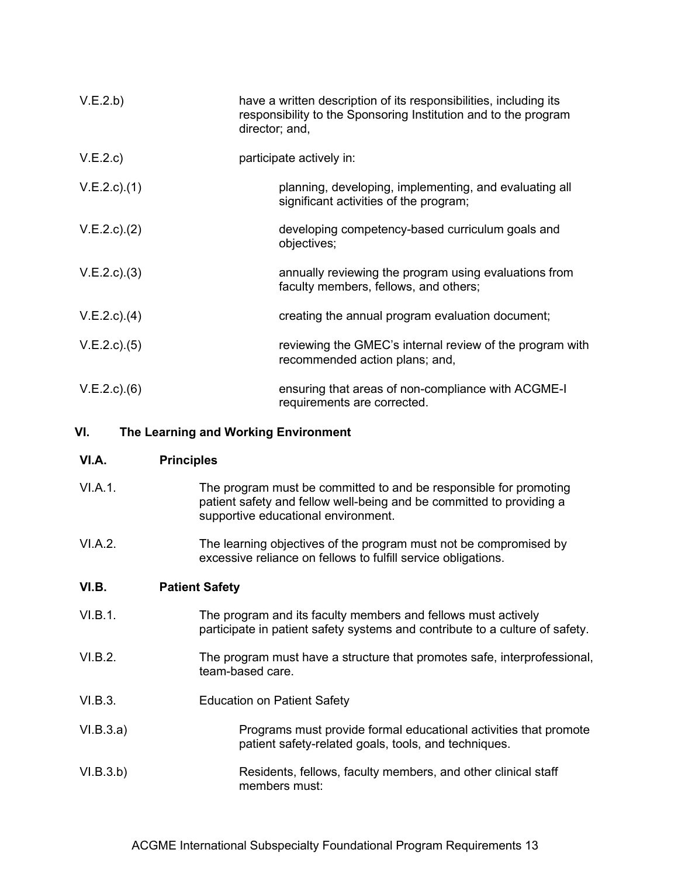| V.E.2.b)           | have a written description of its responsibilities, including its<br>responsibility to the Sponsoring Institution and to the program<br>director; and, |
|--------------------|--------------------------------------------------------------------------------------------------------------------------------------------------------|
| V.E.2.c)           | participate actively in:                                                                                                                               |
| $V.E.2.c$ ). $(1)$ | planning, developing, implementing, and evaluating all<br>significant activities of the program;                                                       |
| $V.E.2.c$ ). $(2)$ | developing competency-based curriculum goals and<br>objectives;                                                                                        |
| $V.E.2.c$ ). $(3)$ | annually reviewing the program using evaluations from<br>faculty members, fellows, and others;                                                         |
| $V.E.2.c$ ). $(4)$ | creating the annual program evaluation document;                                                                                                       |
| $V.E.2.c$ ). $(5)$ | reviewing the GMEC's internal review of the program with<br>recommended action plans; and,                                                             |
| V.E.2.c)(6)        | ensuring that areas of non-compliance with ACGME-I<br>requirements are corrected.                                                                      |

### **VI. The Learning and Working Environment**

#### **VI.A. Principles**

- VI.A.1. The program must be committed to and be responsible for promoting patient safety and fellow well-being and be committed to providing a supportive educational environment.
- VI.A.2. The learning objectives of the program must not be compromised by excessive reliance on fellows to fulfill service obligations.

### **VI.B. Patient Safety**

- VI.B.1. The program and its faculty members and fellows must actively participate in patient safety systems and contribute to a culture of safety.
- VI.B.2. The program must have a structure that promotes safe, interprofessional, team-based care.
- VI.B.3. Education on Patient Safety
- VI.B.3.a) Programs must provide formal educational activities that promote patient safety-related goals, tools, and techniques.
- VI.B.3.b) Residents, fellows, faculty members, and other clinical staff members must: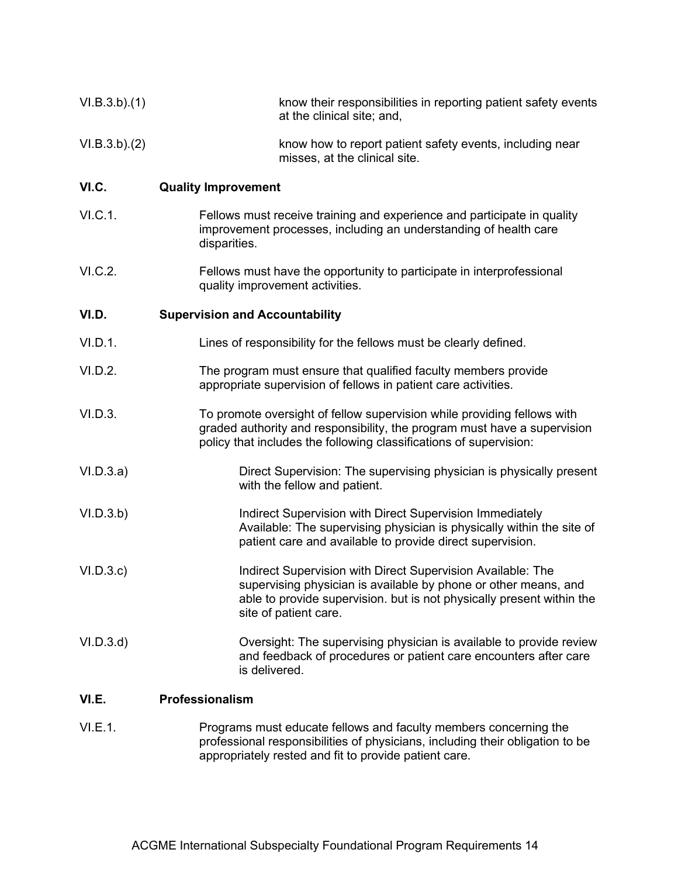| VI.B.3.b)(1) | know their responsibilities in reporting patient safety events<br>at the clinical site; and,                                                                                                                                     |
|--------------|----------------------------------------------------------------------------------------------------------------------------------------------------------------------------------------------------------------------------------|
| VI.B.3.b)(2) | know how to report patient safety events, including near<br>misses, at the clinical site.                                                                                                                                        |
| VI.C.        | <b>Quality Improvement</b>                                                                                                                                                                                                       |
| VI.C.1.      | Fellows must receive training and experience and participate in quality<br>improvement processes, including an understanding of health care<br>disparities.                                                                      |
| VI.C.2.      | Fellows must have the opportunity to participate in interprofessional<br>quality improvement activities.                                                                                                                         |
| VI.D.        | <b>Supervision and Accountability</b>                                                                                                                                                                                            |
| VI.D.1.      | Lines of responsibility for the fellows must be clearly defined.                                                                                                                                                                 |
| VI.D.2.      | The program must ensure that qualified faculty members provide<br>appropriate supervision of fellows in patient care activities.                                                                                                 |
| VI.D.3.      | To promote oversight of fellow supervision while providing fellows with<br>graded authority and responsibility, the program must have a supervision<br>policy that includes the following classifications of supervision:        |
| VI.D.3.a)    | Direct Supervision: The supervising physician is physically present<br>with the fellow and patient.                                                                                                                              |
| VI.D.3.b)    | Indirect Supervision with Direct Supervision Immediately<br>Available: The supervising physician is physically within the site of<br>patient care and available to provide direct supervision.                                   |
| VI.D.3.c     | Indirect Supervision with Direct Supervision Available: The<br>supervising physician is available by phone or other means, and<br>able to provide supervision. but is not physically present within the<br>site of patient care. |
| VI.D.3.d     | Oversight: The supervising physician is available to provide review<br>and feedback of procedures or patient care encounters after care<br>is delivered.                                                                         |
| VI.E.        | Professionalism                                                                                                                                                                                                                  |

VI.E.1. Programs must educate fellows and faculty members concerning the professional responsibilities of physicians, including their obligation to be appropriately rested and fit to provide patient care.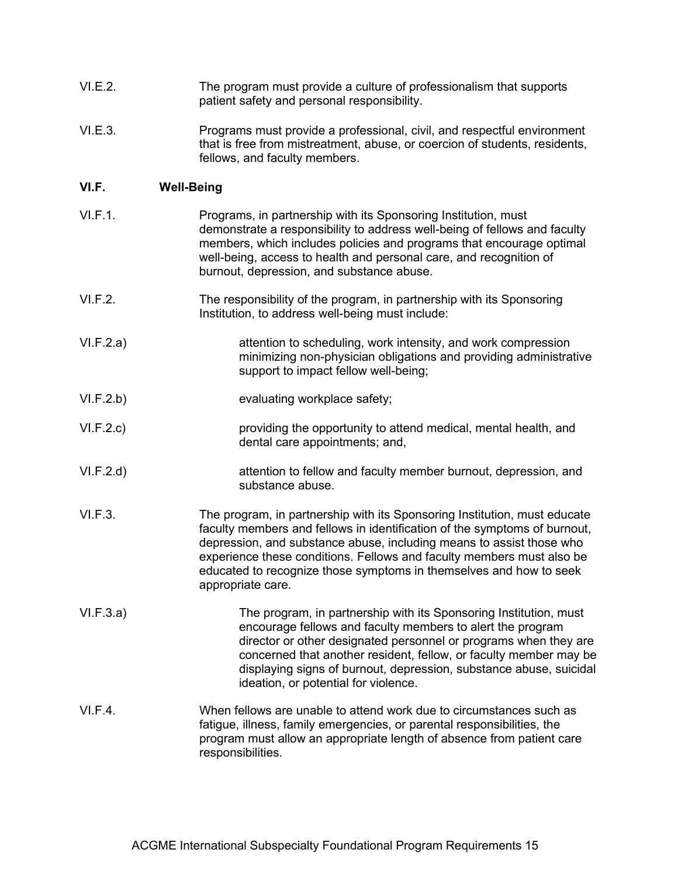- VI.E.2. The program must provide a culture of professionalism that supports patient safety and personal responsibility.
- VI.E.3. Programs must provide a professional, civil, and respectful environment that is free from mistreatment, abuse, or coercion of students, residents, fellows, and faculty members.

### **VI.F. Well-Being**

- VI.F.1. Programs, in partnership with its Sponsoring Institution, must demonstrate a responsibility to address well-being of fellows and faculty members, which includes policies and programs that encourage optimal well-being, access to health and personal care, and recognition of burnout, depression, and substance abuse.
- VI.F.2. The responsibility of the program, in partnership with its Sponsoring Institution, to address well-being must include:
- VI.F.2.a) attention to scheduling, work intensity, and work compression minimizing non-physician obligations and providing administrative support to impact fellow well-being;
- VI.F.2.b) evaluating workplace safety;
- VI.F.2.c) providing the opportunity to attend medical, mental health, and dental care appointments; and,
- VI.F.2.d) attention to fellow and faculty member burnout, depression, and substance abuse.
- VI.F.3. The program, in partnership with its Sponsoring Institution, must educate faculty members and fellows in identification of the symptoms of burnout, depression, and substance abuse, including means to assist those who experience these conditions. Fellows and faculty members must also be educated to recognize those symptoms in themselves and how to seek appropriate care.
- VI.F.3.a) The program, in partnership with its Sponsoring Institution, must encourage fellows and faculty members to alert the program director or other designated personnel or programs when they are concerned that another resident, fellow, or faculty member may be displaying signs of burnout, depression, substance abuse, suicidal ideation, or potential for violence.
- VI.F.4. When fellows are unable to attend work due to circumstances such as fatigue, illness, family emergencies, or parental responsibilities, the program must allow an appropriate length of absence from patient care responsibilities.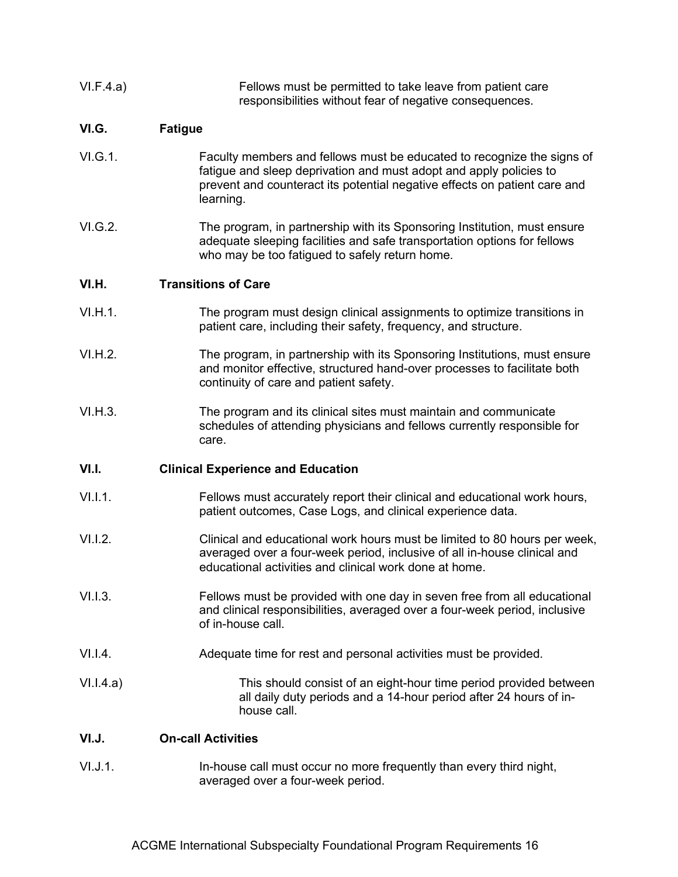| VI.F.4.a) | Fellows must be permitted to take leave from patient care<br>responsibilities without fear of negative consequences.                                                                                                                   |
|-----------|----------------------------------------------------------------------------------------------------------------------------------------------------------------------------------------------------------------------------------------|
| VI.G.     | <b>Fatigue</b>                                                                                                                                                                                                                         |
| VI.G.1.   | Faculty members and fellows must be educated to recognize the signs of<br>fatigue and sleep deprivation and must adopt and apply policies to<br>prevent and counteract its potential negative effects on patient care and<br>learning. |
| VI.G.2.   | The program, in partnership with its Sponsoring Institution, must ensure<br>adequate sleeping facilities and safe transportation options for fellows<br>who may be too fatigued to safely return home.                                 |
| VI.H.     | <b>Transitions of Care</b>                                                                                                                                                                                                             |
| VI.H.1.   | The program must design clinical assignments to optimize transitions in<br>patient care, including their safety, frequency, and structure.                                                                                             |
| VI.H.2.   | The program, in partnership with its Sponsoring Institutions, must ensure<br>and monitor effective, structured hand-over processes to facilitate both<br>continuity of care and patient safety.                                        |
| VI.H.3.   | The program and its clinical sites must maintain and communicate<br>schedules of attending physicians and fellows currently responsible for<br>care.                                                                                   |
| VI.I.     | <b>Clinical Experience and Education</b>                                                                                                                                                                                               |
| V1.1.1.   | Fellows must accurately report their clinical and educational work hours,<br>patient outcomes, Case Logs, and clinical experience data.                                                                                                |
| V1.1.2.   | Clinical and educational work hours must be limited to 80 hours per week,<br>averaged over a four-week period, inclusive of all in-house clinical and<br>educational activities and clinical work done at home.                        |
| V1.1.3.   | Fellows must be provided with one day in seven free from all educational<br>and clinical responsibilities, averaged over a four-week period, inclusive<br>of in-house call.                                                            |
| V1.1.4.   | Adequate time for rest and personal activities must be provided.                                                                                                                                                                       |
| V1.1.4.a) | This should consist of an eight-hour time period provided between<br>all daily duty periods and a 14-hour period after 24 hours of in-<br>house call.                                                                                  |
| VI.J.     | <b>On-call Activities</b>                                                                                                                                                                                                              |
| VI.J.1.   | In-house call must occur no more frequently than every third night,<br>averaged over a four-week period.                                                                                                                               |